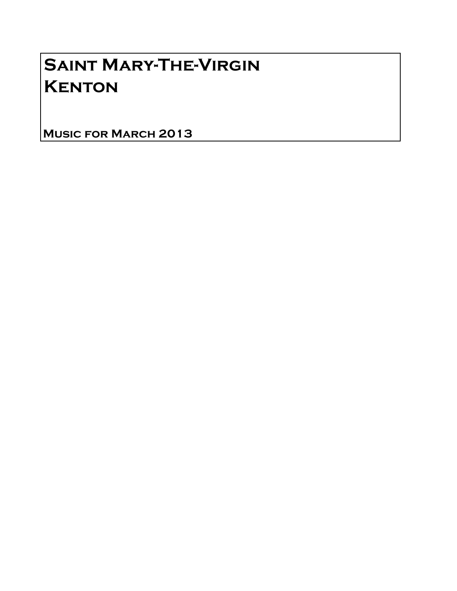# Saint Mary-The-Virgin **KENTON**

Music for March 2013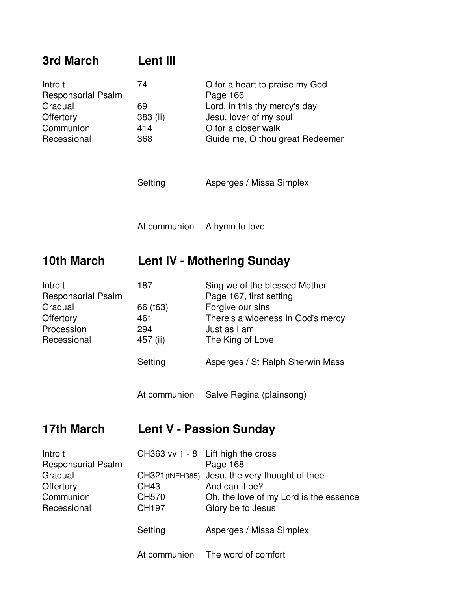| 3rd March                                                                                 | Lent III                                                             |                                                                                                                                                                                                                                      |
|-------------------------------------------------------------------------------------------|----------------------------------------------------------------------|--------------------------------------------------------------------------------------------------------------------------------------------------------------------------------------------------------------------------------------|
| Introit<br><b>Responsorial Psalm</b><br>Gradual<br>Offertory<br>Communion<br>Recessional  | 74<br>69<br>383 (ii)<br>414<br>368                                   | O for a heart to praise my God<br>Page 166<br>Lord, in this thy mercy's day<br>Jesu, lover of my soul<br>O for a closer walk<br>Guide me, O thou great Redeemer                                                                      |
|                                                                                           | Setting                                                              | Asperges / Missa Simplex                                                                                                                                                                                                             |
|                                                                                           | At communion                                                         | A hymn to love                                                                                                                                                                                                                       |
| <b>10th March</b>                                                                         | <b>Lent IV - Mothering Sunday</b>                                    |                                                                                                                                                                                                                                      |
| Introit<br><b>Responsorial Psalm</b><br>Gradual<br>Offertory<br>Procession<br>Recessional | 187<br>66 (t63)<br>461<br>294<br>457 (ii)<br>Setting<br>At communion | Sing we of the blessed Mother<br>Page 167, first setting<br>Forgive our sins<br>There's a wideness in God's mercy<br>Just as I am<br>The King of Love<br>Asperges / St Ralph Sherwin Mass<br>Salve Regina (plainsong)                |
| <b>17th March</b>                                                                         |                                                                      | <b>Lent V - Passion Sunday</b>                                                                                                                                                                                                       |
| Introit<br>Responsorial Psalm<br>Gradual<br>Offertory<br>Communion<br>Recessional         | <b>CH43</b><br>CH570<br>CH197<br>Setting<br>At communion             | CH363 vv 1 - 8 Lift high the cross<br>Page 168<br>CH321 (tNEH385) Jesu, the very thought of thee<br>And can it be?<br>Oh, the love of my Lord is the essence<br>Glory be to Jesus<br>Asperges / Missa Simplex<br>The word of comfort |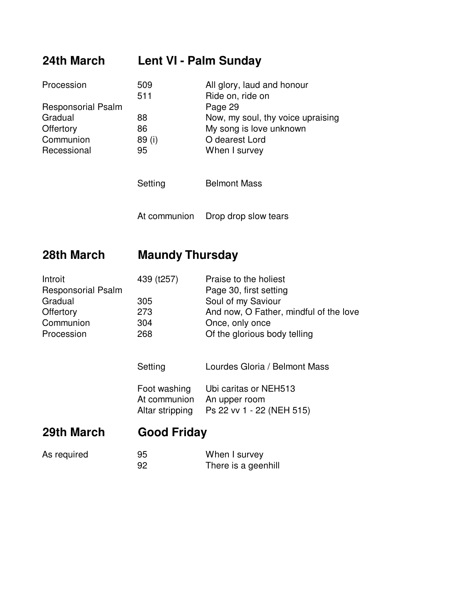# **24th March Lent VI - Palm Sunday**

| All glory, laud and honour        |
|-----------------------------------|
| Ride on, ride on                  |
| Page 29                           |
| Now, my soul, thy voice upraising |
| My song is love unknown           |
| O dearest Lord<br>89 (i)          |
| When I survey                     |
|                                   |
| 509                               |

Setting **Belmont Mass** 

At communion Drop drop slow tears

### **28th March Maundy Thursday**

| Introit                   | 439 (t257) | Praise to the holiest                  |
|---------------------------|------------|----------------------------------------|
| <b>Responsorial Psalm</b> |            | Page 30, first setting                 |
| Gradual                   | 305        | Soul of my Saviour                     |
| Offertory                 | 273        | And now, O Father, mindful of the love |
| Communion                 | 304        | Once, only once                        |
| Procession                | 268        | Of the glorious body telling           |
|                           |            |                                        |

Setting **Lourdes Gloria / Belmont Mass** 

| Foot washing    | Ubi caritas or NEH513     |
|-----------------|---------------------------|
| At communion    | An upper room             |
| Altar stripping | Ps 22 vv 1 - 22 (NEH 515) |

# **29th March Good Friday**

| As required | 95 | When I survey       |
|-------------|----|---------------------|
|             | 92 | There is a geenhill |